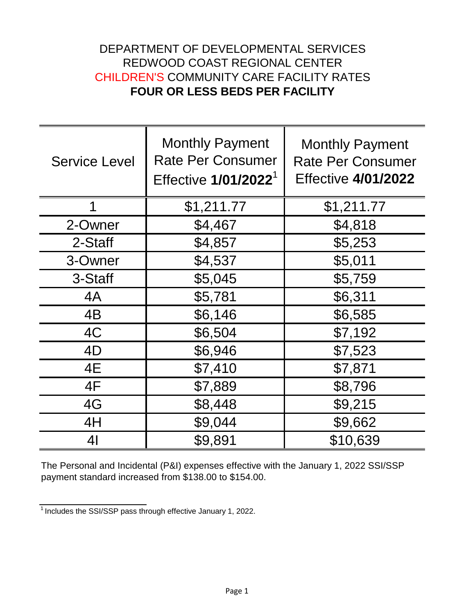## DEPARTMENT OF DEVELOPMENTAL SERVICES REDWOOD COAST REGIONAL CENTER CHILDREN'S COMMUNITY CARE FACILITY RATES **FOUR OR LESS BEDS PER FACILITY**

| <b>Service Level</b> | <b>Monthly Payment</b><br><b>Rate Per Consumer</b><br>Effective 1/01/2022 <sup>1</sup> | <b>Monthly Payment</b><br><b>Rate Per Consumer</b><br><b>Effective 4/01/2022</b> |
|----------------------|----------------------------------------------------------------------------------------|----------------------------------------------------------------------------------|
| 1                    | \$1,211.77                                                                             | \$1,211.77                                                                       |
| 2-Owner              | \$4,467                                                                                | \$4,818                                                                          |
| 2-Staff              | \$4,857                                                                                | \$5,253                                                                          |
| 3-Owner              | \$4,537                                                                                | \$5,011                                                                          |
| 3-Staff              | \$5,045                                                                                | \$5,759                                                                          |
| 4A                   | \$5,781                                                                                | \$6,311                                                                          |
| 4B                   | \$6,146                                                                                | \$6,585                                                                          |
| 4C                   | \$6,504                                                                                | \$7,192                                                                          |
| 4D                   | \$6,946                                                                                | \$7,523                                                                          |
| 4E                   | \$7,410                                                                                | \$7,871                                                                          |
| 4F                   | \$7,889                                                                                | \$8,796                                                                          |
| 4G                   | \$8,448                                                                                | \$9,215                                                                          |
| 4H                   | \$9,044                                                                                | \$9,662                                                                          |
| 4 <sub>l</sub>       | \$9,891                                                                                | \$10,639                                                                         |

The Personal and Incidental (P&I) expenses effective with the January 1, 2022 SSI/SSP payment standard increased from \$138.00 to \$154.00.

 $1$ Includes the SSI/SSP pass through effective January 1, 2022.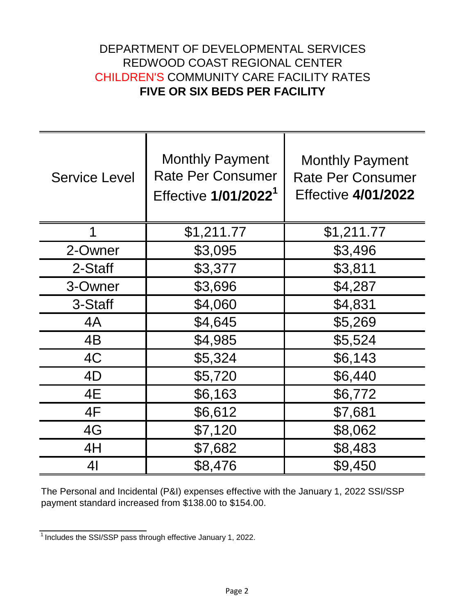## DEPARTMENT OF DEVELOPMENTAL SERVICES REDWOOD COAST REGIONAL CENTER CHILDREN'S COMMUNITY CARE FACILITY RATES **FIVE OR SIX BEDS PER FACILITY**

| <b>Service Level</b> | <b>Monthly Payment</b><br><b>Rate Per Consumer</b><br>Effective 1/01/2022 <sup>1</sup> | <b>Monthly Payment</b><br><b>Rate Per Consumer</b><br><b>Effective 4/01/2022</b> |
|----------------------|----------------------------------------------------------------------------------------|----------------------------------------------------------------------------------|
| 1                    | \$1,211.77                                                                             | \$1,211.77                                                                       |
| 2-Owner              | \$3,095                                                                                | \$3,496                                                                          |
| 2-Staff              | \$3,377                                                                                | \$3,811                                                                          |
| 3-Owner              | \$3,696                                                                                | \$4,287                                                                          |
| 3-Staff              | \$4,060                                                                                | \$4,831                                                                          |
| 4A                   | \$4,645                                                                                | \$5,269                                                                          |
| 4B                   | \$4,985                                                                                | \$5,524                                                                          |
| 4C                   | \$5,324                                                                                | \$6,143                                                                          |
| 4D                   | \$5,720                                                                                | \$6,440                                                                          |
| 4E                   | \$6,163                                                                                | \$6,772                                                                          |
| 4F                   | \$6,612                                                                                | \$7,681                                                                          |
| 4G                   | \$7,120                                                                                | \$8,062                                                                          |
| 4H                   | \$7,682                                                                                | \$8,483                                                                          |
| 41                   | \$8,476                                                                                | \$9,450                                                                          |

The Personal and Incidental (P&I) expenses effective with the January 1, 2022 SSI/SSP payment standard increased from \$138.00 to \$154.00.

 $\frac{1}{1}$  Includes the SSI/SSP pass through effective January 1, 2022.